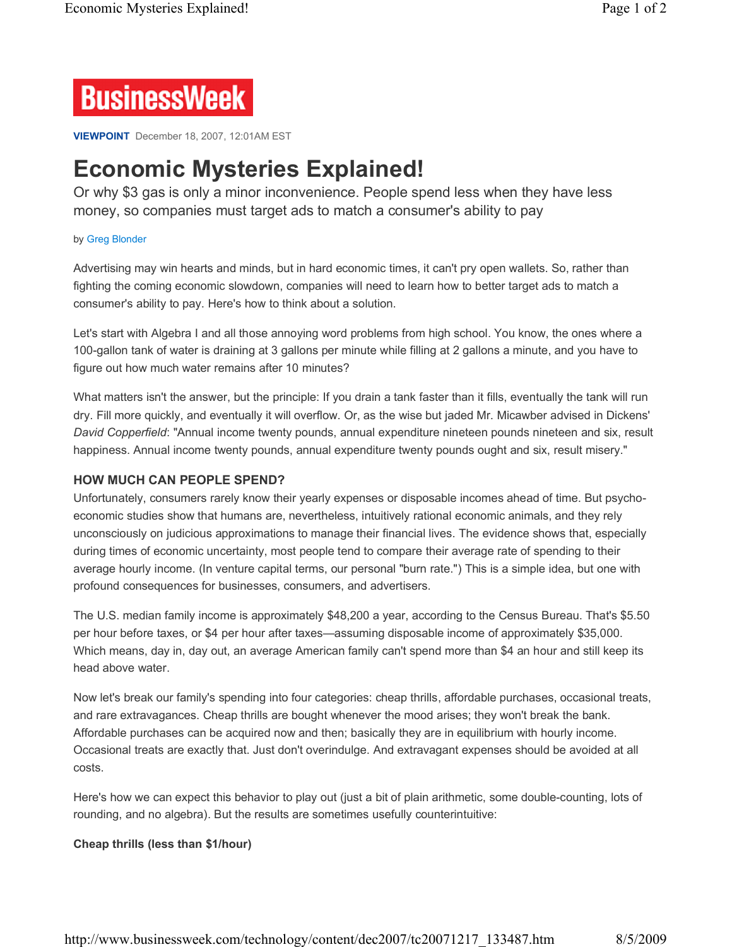

**VIEWPOINT** December 18, 2007, 12:01AM EST

# **Economic Mysteries Explained!**

Or why \$3 gas is only a minor inconvenience. People spend less when they have less money, so companies must target ads to match a consumer's ability to pay

#### by Greg Blonder

Advertising may win hearts and minds, but in hard economic times, it can't pry open wallets. So, rather than fighting the coming economic slowdown, companies will need to learn how to better target ads to match a consumer's ability to pay. Here's how to think about a solution.

Let's start with Algebra I and all those annoying word problems from high school. You know, the ones where a 100-gallon tank of water is draining at 3 gallons per minute while filling at 2 gallons a minute, and you have to figure out how much water remains after 10 minutes?

What matters isn't the answer, but the principle: If you drain a tank faster than it fills, eventually the tank will run dry. Fill more quickly, and eventually it will overflow. Or, as the wise but jaded Mr. Micawber advised in Dickens' *David Copperfield*: "Annual income twenty pounds, annual expenditure nineteen pounds nineteen and six, result happiness. Annual income twenty pounds, annual expenditure twenty pounds ought and six, result misery."

## **HOW MUCH CAN PEOPLE SPEND?**

Unfortunately, consumers rarely know their yearly expenses or disposable incomes ahead of time. But psychoeconomic studies show that humans are, nevertheless, intuitively rational economic animals, and they rely unconsciously on judicious approximations to manage their financial lives. The evidence shows that, especially during times of economic uncertainty, most people tend to compare their average rate of spending to their average hourly income. (In venture capital terms, our personal "burn rate.") This is a simple idea, but one with profound consequences for businesses, consumers, and advertisers.

The U.S. median family income is approximately \$48,200 a year, according to the Census Bureau. That's \$5.50 per hour before taxes, or \$4 per hour after taxes—assuming disposable income of approximately \$35,000. Which means, day in, day out, an average American family can't spend more than \$4 an hour and still keep its head above water.

Now let's break our family's spending into four categories: cheap thrills, affordable purchases, occasional treats, and rare extravagances. Cheap thrills are bought whenever the mood arises; they won't break the bank. Affordable purchases can be acquired now and then; basically they are in equilibrium with hourly income. Occasional treats are exactly that. Just don't overindulge. And extravagant expenses should be avoided at all costs.

Here's how we can expect this behavior to play out (just a bit of plain arithmetic, some double-counting, lots of rounding, and no algebra). But the results are sometimes usefully counterintuitive:

## **Cheap thrills (less than \$1/hour)**

http://www.businessweek.com/technology/content/dec2007/tc20071217\_133487.htm 8/5/2009